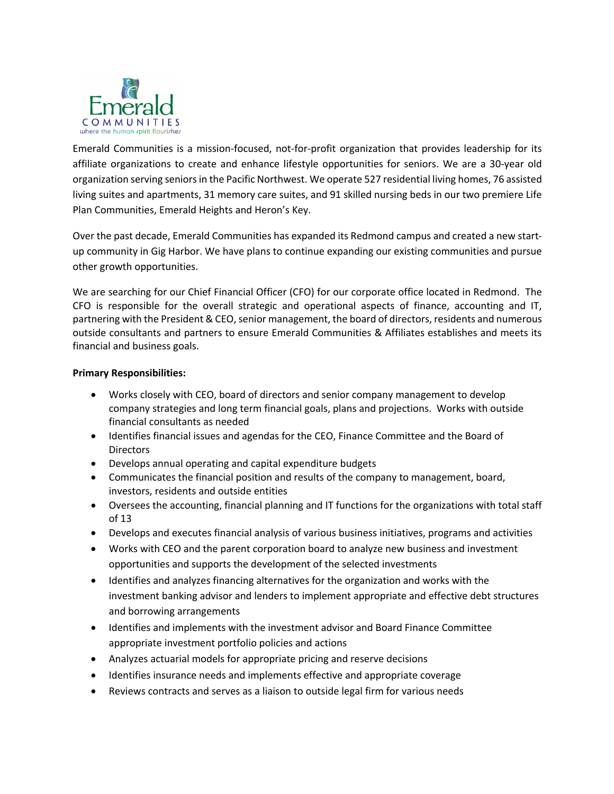

Emerald Communities is a mission-focused, not-for-profit organization that provides leadership for its affiliate organizations to create and enhance lifestyle opportunities for seniors. We are a 30-year old organization serving seniors in the Pacific Northwest. We operate 527 residential living homes, 76 assisted living suites and apartments, 31 memory care suites, and 91 skilled nursing beds in our two premiere Life Plan Communities, Emerald Heights and Heron's Key.

Over the past decade, Emerald Communities has expanded its Redmond campus and created a new startup community in Gig Harbor. We have plans to continue expanding our existing communities and pursue other growth opportunities.

We are searching for our Chief Financial Officer (CFO) for our corporate office located in Redmond. The CFO is responsible for the overall strategic and operational aspects of finance, accounting and IT, partnering with the President & CEO, senior management, the board of directors, residents and numerous outside consultants and partners to ensure Emerald Communities & Affiliates establishes and meets its financial and business goals.

## **Primary Responsibilities:**

- Works closely with CEO, board of directors and senior company management to develop company strategies and long term financial goals, plans and projections. Works with outside financial consultants as needed
- Identifies financial issues and agendas for the CEO, Finance Committee and the Board of **Directors**
- Develops annual operating and capital expenditure budgets
- Communicates the financial position and results of the company to management, board, investors, residents and outside entities
- Oversees the accounting, financial planning and IT functions for the organizations with total staff of 13
- Develops and executes financial analysis of various business initiatives, programs and activities
- Works with CEO and the parent corporation board to analyze new business and investment opportunities and supports the development of the selected investments
- Identifies and analyzes financing alternatives for the organization and works with the investment banking advisor and lenders to implement appropriate and effective debt structures and borrowing arrangements
- Identifies and implements with the investment advisor and Board Finance Committee appropriate investment portfolio policies and actions
- Analyzes actuarial models for appropriate pricing and reserve decisions
- Identifies insurance needs and implements effective and appropriate coverage
- Reviews contracts and serves as a liaison to outside legal firm for various needs